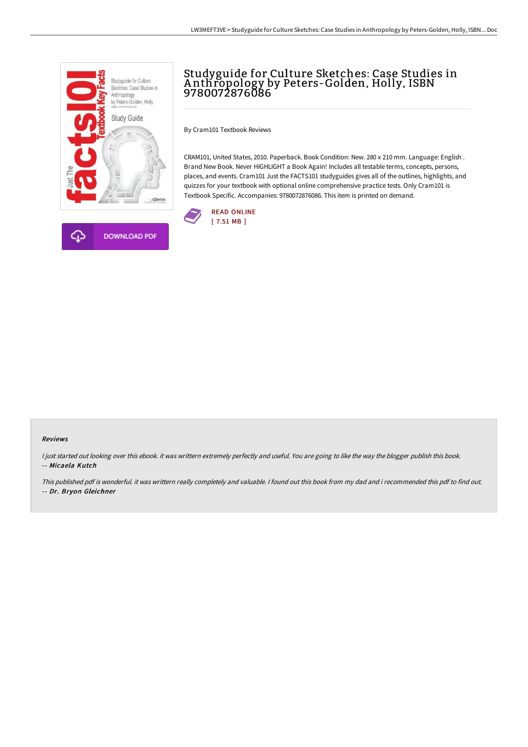

## Studyguide for Culture Sketches: Case Studies in A nthropology by Peters-Golden, Holly, ISBN 9780072876086

By Cram101 Textbook Reviews

CRAM101, United States, 2010. Paperback. Book Condition: New. 280 x 210 mm. Language: English . Brand New Book. Never HIGHLIGHT a Book Again! Includes all testable terms, concepts, persons, places, and events. Cram101 Just the FACTS101 studyguides gives all of the outlines, highlights, and quizzes for your textbook with optional online comprehensive practice tests. Only Cram101 is Textbook Specific. Accompanies: 9780072876086. This item is printed on demand.



## Reviews

I just started out looking over this ebook. it was writtern extremely perfectly and useful. You are going to like the way the blogger publish this book. -- Micaela Kutch

This published pdf is wonderful. it was writtern really completely and valuable. I found out this book from my dad and i recommended this pdf to find out. -- Dr. Bryon Gleichner